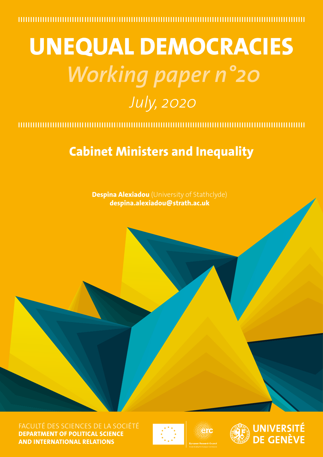# **UNEQUAL DEMOCRACIES** *Working paper n°20 July, 2020*

## **Cabinet Ministers and Inequality**

**Despina Alexiadou** (University of Stathclyde) **despina.alexiadou@strath.ac.uk**

FACULTÉ DES SCIENCES DE LA SOCIÉTÉ **DEPARTMENT OF POLITICAL SCIENCE AND INTERNATIONAL RELATIONS**





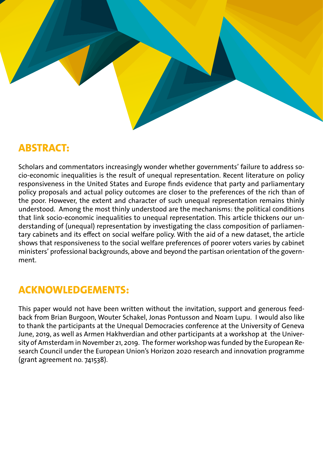

## **ABSTRACT:**

Scholars and commentators increasingly wonder whether governments' failure to address socio-economic inequalities is the result of unequal representation. Recent literature on policy responsiveness in the United States and Europe finds evidence that party and parliamentary policy proposals and actual policy outcomes are closer to the preferences of the rich than of the poor. However, the extent and character of such unequal representation remains thinly understood. Among the most thinly understood are the mechanisms: the political conditions that link socio-economic inequalities to unequal representation. This article thickens our understanding of (unequal) representation by investigating the class composition of parliamentary cabinets and its effect on social welfare policy. With the aid of a new dataset, the article shows that responsiveness to the social welfare preferences of poorer voters varies by cabinet ministers' professional backgrounds, above and beyond the partisan orientation of the government.

## **ACKNOWLEDGEMENTS:**

This paper would not have been written without the invitation, support and generous feedback from Brian Burgoon, Wouter Schakel, Jonas Pontusson and Noam Lupu. I would also like to thank the participants at the Unequal Democracies conference at the University of Geneva June, 2019, as well as Armen Hakhverdian and other participants at a workshop at the University of Amsterdam in November 21, 2019. The former workshop was funded by the European Research Council under the European Union's Horizon 2020 research and innovation programme (grant agreement no. 741538).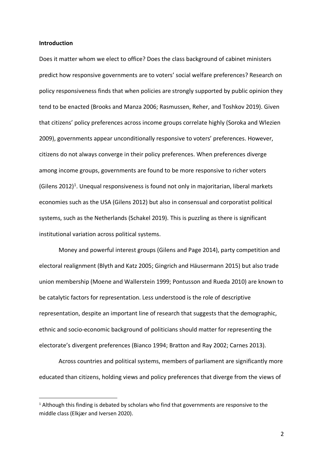#### **Introduction**

Does it matter whom we elect to office? Does the class background of cabinet ministers predict how responsive governments are to voters' social welfare preferences? Research on policy responsiveness finds that when policies are strongly supported by public opinion they tend to be enacted (Brooks and Manza 2006; Rasmussen, Reher, and Toshkov 2019). Given that citizens' policy preferences across income groups correlate highly (Soroka and Wlezien 2009), governments appear unconditionally responsive to voters' preferences. However, citizens do not always converge in their policy preferences. When preferences diverge among income groups, governments are found to be more responsive to richer voters (Gilens 2012)<sup>1</sup>. Unequal responsiveness is found not only in majoritarian, liberal markets economies such as the USA (Gilens 2012) but also in consensual and corporatist political systems, such as the Netherlands (Schakel 2019). This is puzzling as there is significant institutional variation across political systems.

Money and powerful interest groups (Gilens and Page 2014), party competition and electoral realignment (Blyth and Katz 2005; Gingrich and Häusermann 2015) but also trade union membership (Moene and Wallerstein 1999; Pontusson and Rueda 2010) are known to be catalytic factors for representation. Less understood is the role of descriptive representation, despite an important line of research that suggests that the demographic, ethnic and socio-economic background of politicians should matter for representing the electorate's divergent preferences (Bianco 1994; Bratton and Ray 2002; Carnes 2013).

Across countries and political systems, members of parliament are significantly more educated than citizens, holding views and policy preferences that diverge from the views of

 $1$  Although this finding is debated by scholars who find that governments are responsive to the middle class (Elkjær and Iversen 2020).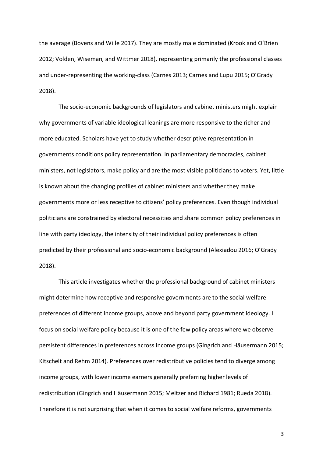the average (Bovens and Wille 2017). They are mostly male dominated (Krook and O'Brien 2012; Volden, Wiseman, and Wittmer 2018), representing primarily the professional classes and under-representing the working-class (Carnes 2013; Carnes and Lupu 2015; O'Grady 2018).

The socio-economic backgrounds of legislators and cabinet ministers might explain why governments of variable ideological leanings are more responsive to the richer and more educated. Scholars have yet to study whether descriptive representation in governments conditions policy representation. In parliamentary democracies, cabinet ministers, not legislators, make policy and are the most visible politicians to voters. Yet, little is known about the changing profiles of cabinet ministers and whether they make governments more or less receptive to citizens' policy preferences. Even though individual politicians are constrained by electoral necessities and share common policy preferences in line with party ideology, the intensity of their individual policy preferences is often predicted by their professional and socio-economic background (Alexiadou 2016; O'Grady 2018).

This article investigates whether the professional background of cabinet ministers might determine how receptive and responsive governments are to the social welfare preferences of different income groups, above and beyond party government ideology. I focus on social welfare policy because it is one of the few policy areas where we observe persistent differences in preferences across income groups (Gingrich and Häusermann 2015; Kitschelt and Rehm 2014). Preferences over redistributive policies tend to diverge among income groups, with lower income earners generally preferring higher levels of redistribution (Gingrich and Häusermann 2015; Meltzer and Richard 1981; Rueda 2018). Therefore it is not surprising that when it comes to social welfare reforms, governments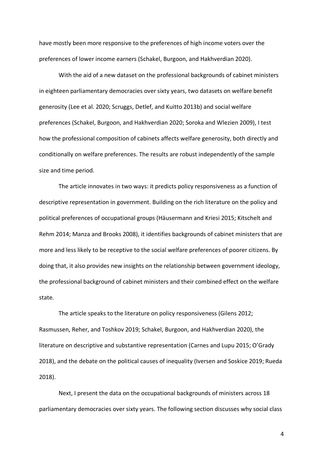have mostly been more responsive to the preferences of high income voters over the preferences of lower income earners (Schakel, Burgoon, and Hakhverdian 2020).

With the aid of a new dataset on the professional backgrounds of cabinet ministers in eighteen parliamentary democracies over sixty years, two datasets on welfare benefit generosity (Lee et al. 2020; Scruggs, Detlef, and Kuitto 2013b) and social welfare preferences (Schakel, Burgoon, and Hakhverdian 2020; Soroka and Wlezien 2009), I test how the professional composition of cabinets affects welfare generosity, both directly and conditionally on welfare preferences. The results are robust independently of the sample size and time period.

The article innovates in two ways: it predicts policy responsiveness as a function of descriptive representation in government. Building on the rich literature on the policy and political preferences of occupational groups (Häusermann and Kriesi 2015; Kitschelt and Rehm 2014; Manza and Brooks 2008), it identifies backgrounds of cabinet ministers that are more and less likely to be receptive to the social welfare preferences of poorer citizens. By doing that, it also provides new insights on the relationship between government ideology, the professional background of cabinet ministers and their combined effect on the welfare state.

The article speaks to the literature on policy responsiveness (Gilens 2012; Rasmussen, Reher, and Toshkov 2019; Schakel, Burgoon, and Hakhverdian 2020), the literature on descriptive and substantive representation (Carnes and Lupu 2015; O'Grady 2018), and the debate on the political causes of inequality (Iversen and Soskice 2019; Rueda 2018).

Next, I present the data on the occupational backgrounds of ministers across 18 parliamentary democracies over sixty years. The following section discusses why social class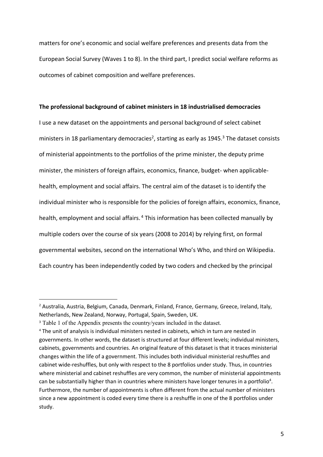matters for one's economic and social welfare preferences and presents data from the European Social Survey (Waves 1 to 8). In the third part, I predict social welfare reforms as outcomes of cabinet composition and welfare preferences.

#### **The professional background of cabinet ministers in 18 industrialised democracies**

I use a new dataset on the appointments and personal background of select cabinet ministers in 18 parliamentary democracies<sup>2</sup>, starting as early as 1945.<sup>3</sup> The dataset consists of ministerial appointments to the portfolios of the prime minister, the deputy prime minister, the ministers of foreign affairs, economics, finance, budget- when applicablehealth, employment and social affairs. The central aim of the dataset is to identify the individual minister who is responsible for the policies of foreign affairs, economics, finance, health, employment and social affairs.<sup>4</sup> This information has been collected manually by multiple coders over the course of six years (2008 to 2014) by relying first, on formal governmental websites, second on the international Who's Who, and third on Wikipedia. Each country has been independently coded by two coders and checked by the principal

<sup>&</sup>lt;sup>2</sup> Australia, Austria, Belgium, Canada, Denmark, Finland, France, Germany, Greece, Ireland, Italy, Netherlands, New Zealand, Norway, Portugal, Spain, Sweden, UK.

<sup>&</sup>lt;sup>3</sup> Table 1 of the Appendix presents the country/years included in the dataset.

<sup>4</sup> The unit of analysis is individual ministers nested in cabinets, which in turn are nested in governments. In other words, the dataset is structured at four different levels; individual ministers, cabinets, governments and countries. An original feature of this dataset is that it traces ministerial changes within the life of a government. This includes both individual ministerial reshuffles and cabinet wide-reshuffles, but only with respect to the 8 portfolios under study. Thus, in countries where ministerial and cabinet reshuffles are very common, the number of ministerial appointments can be substantially higher than in countries where ministers have longer tenures in a portfolio<sup>4</sup>. Furthermore, the number of appointments is often different from the actual number of ministers since a new appointment is coded every time there is a reshuffle in one of the 8 portfolios under study.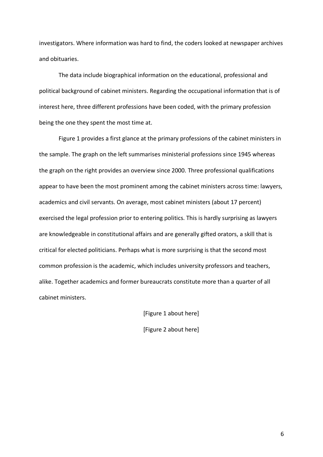investigators. Where information was hard to find, the coders looked at newspaper archives and obituaries.

The data include biographical information on the educational, professional and political background of cabinet ministers. Regarding the occupational information that is of interest here, three different professions have been coded, with the primary profession being the one they spent the most time at.

Figure 1 provides a first glance at the primary professions of the cabinet ministers in the sample. The graph on the left summarises ministerial professions since 1945 whereas the graph on the right provides an overview since 2000. Three professional qualifications appear to have been the most prominent among the cabinet ministers across time: lawyers, academics and civil servants. On average, most cabinet ministers (about 17 percent) exercised the legal profession prior to entering politics. This is hardly surprising as lawyers are knowledgeable in constitutional affairs and are generally gifted orators, a skill that is critical for elected politicians. Perhaps what is more surprising is that the second most common profession is the academic, which includes university professors and teachers, alike. Together academics and former bureaucrats constitute more than a quarter of all cabinet ministers.

> [Figure 1 about here] [Figure 2 about here]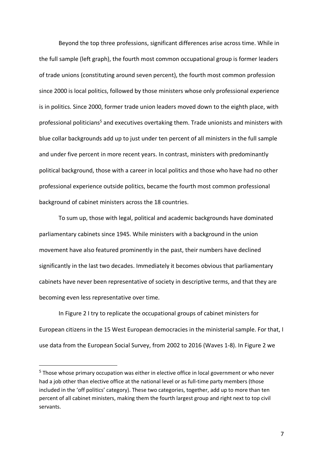Beyond the top three professions, significant differences arise across time. While in the full sample (left graph), the fourth most common occupational group is former leaders of trade unions (constituting around seven percent), the fourth most common profession since 2000 is local politics, followed by those ministers whose only professional experience is in politics. Since 2000, former trade union leaders moved down to the eighth place, with professional politicians<sup>5</sup> and executives overtaking them. Trade unionists and ministers with blue collar backgrounds add up to just under ten percent of all ministers in the full sample and under five percent in more recent years. In contrast, ministers with predominantly political background, those with a career in local politics and those who have had no other professional experience outside politics, became the fourth most common professional background of cabinet ministers across the 18 countries.

To sum up, those with legal, political and academic backgrounds have dominated parliamentary cabinets since 1945. While ministers with a background in the union movement have also featured prominently in the past, their numbers have declined significantly in the last two decades. Immediately it becomes obvious that parliamentary cabinets have never been representative of society in descriptive terms, and that they are becoming even less representative over time.

In Figure 2 I try to replicate the occupational groups of cabinet ministers for European citizens in the 15 West European democracies in the ministerial sample. For that, I use data from the European Social Survey, from 2002 to 2016 (Waves 1-8). In Figure 2 we

<sup>&</sup>lt;sup>5</sup> Those whose primary occupation was either in elective office in local government or who never had a job other than elective office at the national level or as full-time party members (those included in the 'off politics' category). These two categories, together, add up to more than ten percent of all cabinet ministers, making them the fourth largest group and right next to top civil servants.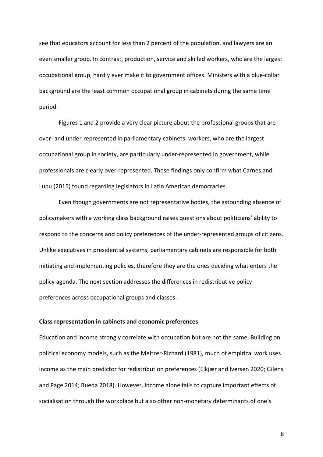see that educators account for less than 2 percent of the population, and lawyers are an even smaller group. In contrast, production, service and skilled workers, who are the largest occupational group, hardly ever make it to government offices. Ministers with a blue-collar background are the least common occupational group in cabinets during the same time period.

Figures 1 and 2 provide a very clear picture about the professional groups that are over- and under-represented in parliamentary cabinets: workers, who are the largest occupational group in society, are particularly under-represented in government, while professionals are clearly over-represented. These findings only confirm what Carnes and Lupu (2015) found regarding legislators in Latin American democracies.

Even though governments are not representative bodies, the astounding absence of policymakers with a working class background raises questions about politicians' ability to respond to the concerns and policy preferences of the under-represented groups of citizens. Unlike executives in presidential systems, parliamentary cabinets are responsible for both initiating and implementing policies, therefore they are the ones deciding what enters the policy agenda. The next section addresses the differences in redistributive policy preferences across occupational groups and classes.

#### **Class representation in cabinets and economic preferences**

Education and income strongly correlate with occupation but are not the same. Building on political economy models, such as the Meltzer-Richard (1981), much of empirical work uses income as the main predictor for redistribution preferences (Elkjær and Iversen 2020; Gilens and Page 2014; Rueda 2018). However, income alone fails to capture important effects of socialisation through the workplace but also other non-monetary determinants of one's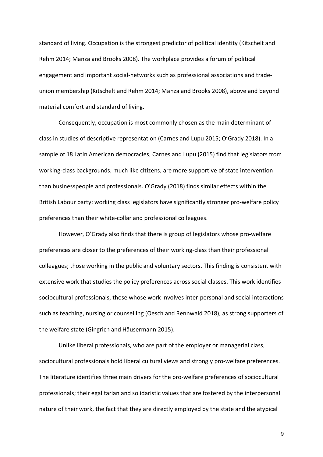standard of living. Occupation is the strongest predictor of political identity (Kitschelt and Rehm 2014; Manza and Brooks 2008). The workplace provides a forum of political engagement and important social-networks such as professional associations and tradeunion membership (Kitschelt and Rehm 2014; Manza and Brooks 2008), above and beyond material comfort and standard of living.

Consequently, occupation is most commonly chosen as the main determinant of class in studies of descriptive representation (Carnes and Lupu 2015; O'Grady 2018). In a sample of 18 Latin American democracies, Carnes and Lupu (2015) find that legislators from working-class backgrounds, much like citizens, are more supportive of state intervention than businesspeople and professionals. O'Grady (2018) finds similar effects within the British Labour party; working class legislators have significantly stronger pro-welfare policy preferences than their white-collar and professional colleagues.

However, O'Grady also finds that there is group of legislators whose pro-welfare preferences are closer to the preferences of their working-class than their professional colleagues; those working in the public and voluntary sectors. This finding is consistent with extensive work that studies the policy preferences across social classes. This work identifies sociocultural professionals, those whose work involves inter-personal and social interactions such as teaching, nursing or counselling (Oesch and Rennwald 2018), as strong supporters of the welfare state (Gingrich and Häusermann 2015).

Unlike liberal professionals, who are part of the employer or managerial class, sociocultural professionals hold liberal cultural views and strongly pro-welfare preferences. The literature identifies three main drivers for the pro-welfare preferences of sociocultural professionals; their egalitarian and solidaristic values that are fostered by the interpersonal nature of their work, the fact that they are directly employed by the state and the atypical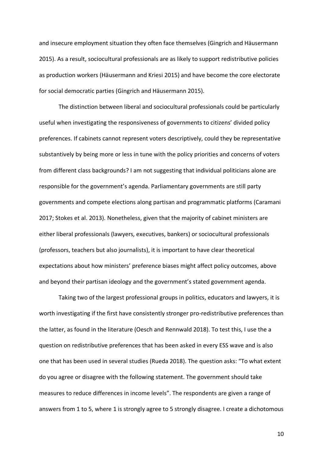and insecure employment situation they often face themselves (Gingrich and Häusermann 2015). As a result, sociocultural professionals are as likely to support redistributive policies as production workers (Häusermann and Kriesi 2015) and have become the core electorate for social democratic parties (Gingrich and Häusermann 2015).

The distinction between liberal and sociocultural professionals could be particularly useful when investigating the responsiveness of governments to citizens' divided policy preferences. If cabinets cannot represent voters descriptively, could they be representative substantively by being more or less in tune with the policy priorities and concerns of voters from different class backgrounds? I am not suggesting that individual politicians alone are responsible for the government's agenda. Parliamentary governments are still party governments and compete elections along partisan and programmatic platforms (Caramani 2017; Stokes et al. 2013). Nonetheless, given that the majority of cabinet ministers are either liberal professionals (lawyers, executives, bankers) or sociocultural professionals (professors, teachers but also journalists), it is important to have clear theoretical expectations about how ministers' preference biases might affect policy outcomes, above and beyond their partisan ideology and the government's stated government agenda.

Taking two of the largest professional groups in politics, educators and lawyers, it is worth investigating if the first have consistently stronger pro-redistributive preferences than the latter, as found in the literature (Oesch and Rennwald 2018). To test this, I use the a question on redistributive preferences that has been asked in every ESS wave and is also one that has been used in several studies (Rueda 2018). The question asks: "To what extent do you agree or disagree with the following statement. The government should take measures to reduce differences in income levels". The respondents are given a range of answers from 1 to 5, where 1 is strongly agree to 5 strongly disagree. I create a dichotomous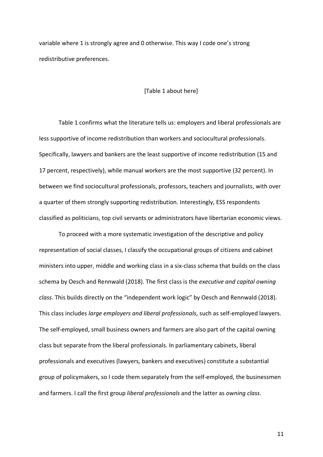variable where 1 is strongly agree and 0 otherwise. This way I code one's strong redistributive preferences.

#### [Table 1 about here]

Table 1 confirms what the literature tells us: employers and liberal professionals are less supportive of income redistribution than workers and sociocultural professionals. Specifically, lawyers and bankers are the least supportive of income redistribution (15 and 17 percent, respectively), while manual workers are the most supportive (32 percent). In between we find sociocultural professionals, professors, teachers and journalists, with over a quarter of them strongly supporting redistribution. Interestingly, ESS respondents classified as politicians, top civil servants or administrators have libertarian economic views.

To proceed with a more systematic investigation of the descriptive and policy representation of social classes, I classify the occupational groups of citizens and cabinet ministers into upper, middle and working class in a six-class schema that builds on the class schema by Oesch and Rennwald (2018). The first class is the *executive and capital owning class*. This builds directly on the "independent work logic" by Oesch and Rennwald (2018). This class includes *large employers and liberal professionals*, such as self-employed lawyers. The self-employed, small business owners and farmers are also part of the capital owning class but separate from the liberal professionals. In parliamentary cabinets, liberal professionals and executives (lawyers, bankers and executives) constitute a substantial group of policymakers, so I code them separately from the self-employed, the businessmen and farmers. I call the first group *liberal professionals* and the latter as *owning class*.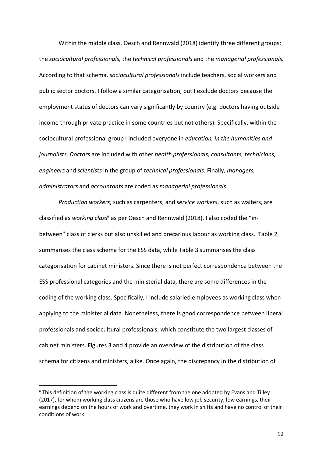Within the middle class, Oesch and Rennwald (2018) identify three different groups: the *sociocultural professionals,* the *technical professionals* and the *managerial professionals.* According to that schema, *sociocultural professionals* include teachers, social workers and public sector doctors. I follow a similar categorisation, but I exclude doctors because the employment status of doctors can vary significantly by country (e.g. doctors having outside income through private practice in some countries but not others). Specifically, within the sociocultural professional group I included everyone in *education, in the humanities and journalists*. *Doctors* are included with other *health professionals, consultants, technicians, engineers* and *scientists* in the group of *technical professionals.* Finally, *managers, administrators* and *accountants* are coded as *managerial professionals*.

*Production workers*, such as carpenters, and *service workers*, such as waiters, are classified as *working class*<sup>6</sup> as per Oesch and Rennwald (2018). I also coded the "inbetween" class of clerks but also unskilled and precarious labour as working class. Table 2 summarises the class schema for the ESS data, while Table 3 summarises the class categorisation for cabinet ministers. Since there is not perfect correspondence between the ESS professional categories and the ministerial data, there are some differences in the coding of the working class. Specifically, I include salaried employees as working class when applying to the ministerial data. Nonetheless, there is good correspondence between liberal professionals and sociocultural professionals, which constitute the two largest classes of cabinet ministers. Figures 3 and 4 provide an overview of the distribution of the class schema for citizens and ministers, alike. Once again, the discrepancy in the distribution of

<sup>&</sup>lt;sup>6</sup> This definition of the working class is quite different from the one adopted by Evans and Tilley (2017), for whom working class citizens are those who have low job security, low earnings, their earnings depend on the hours of work and overtime, they work in shifts and have no control of their conditions of work.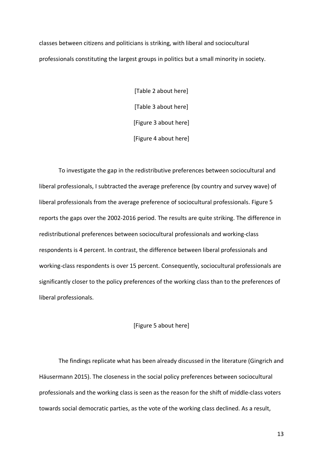classes between citizens and politicians is striking, with liberal and sociocultural professionals constituting the largest groups in politics but a small minority in society.

> [Table 2 about here] [Table 3 about here] [Figure 3 about here] [Figure 4 about here]

To investigate the gap in the redistributive preferences between sociocultural and liberal professionals, I subtracted the average preference (by country and survey wave) of liberal professionals from the average preference of sociocultural professionals. Figure 5 reports the gaps over the 2002-2016 period. The results are quite striking. The difference in redistributional preferences between sociocultural professionals and working-class respondents is 4 percent. In contrast, the difference between liberal professionals and working-class respondents is over 15 percent. Consequently, sociocultural professionals are significantly closer to the policy preferences of the working class than to the preferences of liberal professionals.

#### [Figure 5 about here]

The findings replicate what has been already discussed in the literature (Gingrich and Häusermann 2015). The closeness in the social policy preferences between sociocultural professionals and the working class is seen as the reason for the shift of middle-class voters towards social democratic parties, as the vote of the working class declined. As a result,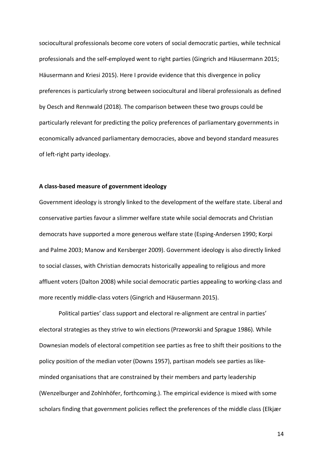sociocultural professionals become core voters of social democratic parties, while technical professionals and the self-employed went to right parties (Gingrich and Häusermann 2015; Häusermann and Kriesi 2015). Here I provide evidence that this divergence in policy preferences is particularly strong between sociocultural and liberal professionals as defined by Oesch and Rennwald (2018). The comparison between these two groups could be particularly relevant for predicting the policy preferences of parliamentary governments in economically advanced parliamentary democracies, above and beyond standard measures of left-right party ideology.

#### **A class-based measure of government ideology**

Government ideology is strongly linked to the development of the welfare state. Liberal and conservative parties favour a slimmer welfare state while social democrats and Christian democrats have supported a more generous welfare state (Esping-Andersen 1990; Korpi and Palme 2003; Manow and Kersberger 2009). Government ideology is also directly linked to social classes, with Christian democrats historically appealing to religious and more affluent voters (Dalton 2008) while social democratic parties appealing to working-class and more recently middle-class voters (Gingrich and Häusermann 2015).

Political parties' class support and electoral re-alignment are central in parties' electoral strategies as they strive to win elections (Przeworski and Sprague 1986). While Downesian models of electoral competition see parties as free to shift their positions to the policy position of the median voter (Downs 1957), partisan models see parties as likeminded organisations that are constrained by their members and party leadership (Wenzelburger and Zohlnhöfer, forthcoming.). The empirical evidence is mixed with some scholars finding that government policies reflect the preferences of the middle class (Elkjær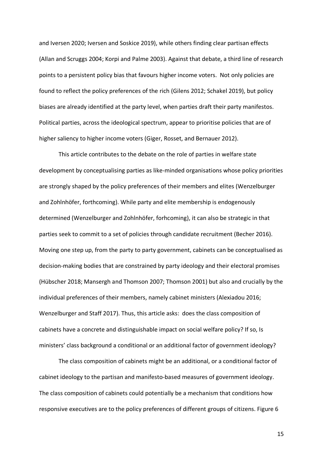and Iversen 2020; Iversen and Soskice 2019), while others finding clear partisan effects (Allan and Scruggs 2004; Korpi and Palme 2003). Against that debate, a third line of research points to a persistent policy bias that favours higher income voters. Not only policies are found to reflect the policy preferences of the rich (Gilens 2012; Schakel 2019), but policy biases are already identified at the party level, when parties draft their party manifestos. Political parties, across the ideological spectrum, appear to prioritise policies that are of higher saliency to higher income voters (Giger, Rosset, and Bernauer 2012).

This article contributes to the debate on the role of parties in welfare state development by conceptualising parties as like-minded organisations whose policy priorities are strongly shaped by the policy preferences of their members and elites (Wenzelburger and Zohlnhöfer, forthcoming). While party and elite membership is endogenously determined (Wenzelburger and Zohlnhöfer, forhcoming), it can also be strategic in that parties seek to commit to a set of policies through candidate recruitment (Becher 2016). Moving one step up, from the party to party government, cabinets can be conceptualised as decision-making bodies that are constrained by party ideology and their electoral promises (Hübscher 2018; Mansergh and Thomson 2007; Thomson 2001) but also and crucially by the individual preferences of their members, namely cabinet ministers (Alexiadou 2016; Wenzelburger and Staff 2017). Thus, this article asks: does the class composition of cabinets have a concrete and distinguishable impact on social welfare policy? If so, Is ministers' class background a conditional or an additional factor of government ideology?

The class composition of cabinets might be an additional, or a conditional factor of cabinet ideology to the partisan and manifesto-based measures of government ideology. The class composition of cabinets could potentially be a mechanism that conditions how responsive executives are to the policy preferences of different groups of citizens. Figure 6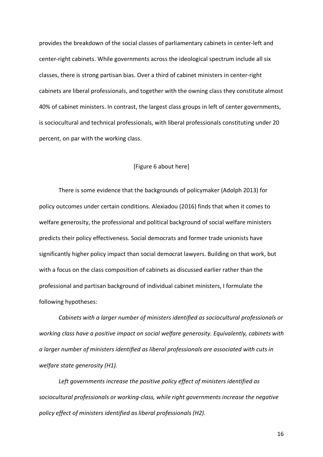provides the breakdown of the social classes of parliamentary cabinets in center-left and center-right cabinets. While governments across the ideological spectrum include all six classes, there is strong partisan bias. Over a third of cabinet ministers in center-right cabinets are liberal professionals, and together with the owning class they constitute almost 40% of cabinet ministers. In contrast, the largest class groups in left of center governments, is sociocultural and technical professionals, with liberal professionals constituting under 20 percent, on par with the working class.

#### [Figure 6 about here]

There is some evidence that the backgrounds of policymaker (Adolph 2013) for policy outcomes under certain conditions. Alexiadou (2016) finds that when it comes to welfare generosity, the professional and political background of social welfare ministers predicts their policy effectiveness. Social democrats and former trade unionists have significantly higher policy impact than social democrat lawyers. Building on that work, but with a focus on the class composition of cabinets as discussed earlier rather than the professional and partisan background of individual cabinet ministers, I formulate the following hypotheses:

*Cabinets with a larger number of ministers identified as sociocultural professionals or working class have a positive impact on social welfare generosity. Equivalently, cabinets with a larger number of ministers identified as liberal professionals are associated with cuts in welfare state generosity (H1).*

*Left governments increase the positive policy effect of ministers identified as sociocultural professionals or working-class, while right governments increase the negative policy effect of ministers identified as liberal professionals (H2).*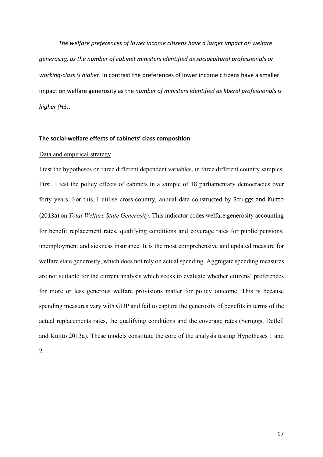*The welfare preferences of lower income citizens have a larger impact on welfare generosity, as the number of cabinet ministers identified as sociocultural professionals or working-class is higher*. In contrast the preferences of lower income citizens have a smaller impact on welfare generosity as the *number of ministers identified as liberal professionals is higher (H3)*.

#### **The social-welfare effects of cabinets' class composition**

#### Data and empirical strategy

I test the hypotheses on three different dependent variables, in three different country samples. First, I test the policy effects of cabinets in a sample of 18 parliamentary democracies over forty years. For this, I utilise cross-country, annual data constructed by Scruggs and Kuitto (2013a) on *Total Welfare State Generosity.* This indicator codes welfare generosity accounting for benefit replacement rates, qualifying conditions and coverage rates for public pensions, unemployment and sickness insurance. It is the most comprehensive and updated measure for welfare state generosity, which does not rely on actual spending. Aggregate spending measures are not suitable for the current analysis which seeks to evaluate whether citizens' preferences for more or less generous welfare provisions matter for policy outcome. This is because spending measures vary with GDP and fail to capture the generosity of benefits in terms of the actual replacements rates, the qualifying conditions and the coverage rates (Scruggs, Detlef, and Kuitto 2013a). These models constitute the core of the analysis testing Hypotheses 1 and

2.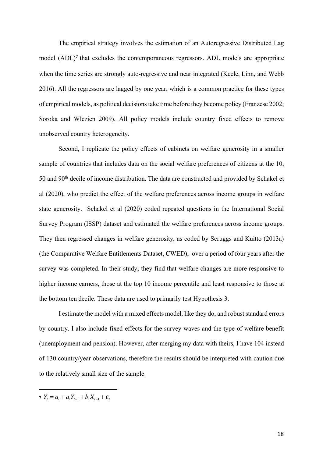The empirical strategy involves the estimation of an Autoregressive Distributed Lag model (ADL)<sup>7</sup> that excludes the contemporaneous regressors. ADL models are appropriate when the time series are strongly auto-regressive and near integrated (Keele, Linn, and Webb 2016). All the regressors are lagged by one year, which is a common practice for these types of empirical models, as political decisions take time before they become policy (Franzese 2002; Soroka and Wlezien 2009). All policy models include country fixed effects to remove unobserved country heterogeneity.

Second, I replicate the policy effects of cabinets on welfare generosity in a smaller sample of countries that includes data on the social welfare preferences of citizens at the 10, 50 and 90<sup>th</sup> decile of income distribution. The data are constructed and provided by Schakel et al (2020), who predict the effect of the welfare preferences across income groups in welfare state generosity. Schakel et al (2020) coded repeated questions in the International Social Survey Program (ISSP) dataset and estimated the welfare preferences across income groups. They then regressed changes in welfare generosity, as coded by Scruggs and Kuitto (2013a) (the Comparative Welfare Entitlements Dataset, CWED), over a period of four years after the survey was completed. In their study, they find that welfare changes are more responsive to higher income earners, those at the top 10 income percentile and least responsive to those at the bottom ten decile. These data are used to primarily test Hypothesis 3.

I estimate the model with a mixed effects model, like they do, and robust standard errors by country. I also include fixed effects for the survey waves and the type of welfare benefit (unemployment and pension). However, after merging my data with theirs, I have 104 instead of 130 country/year observations, therefore the results should be interpreted with caution due to the relatively small size of the sample.

 $\overline{a}$ 

 $\gamma Y_t = a_t + a_1 Y_{t-1} + b_1 X_{t-1} + \varepsilon_t$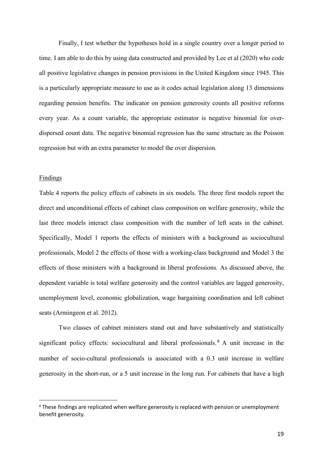Finally, I test whether the hypotheses hold in a single country over a longer period to time. I am able to do this by using data constructed and provided by Lee et al (2020) who code all positive legislative changes in pension provisions in the United Kingdom since 1945. This is a particularly appropriate measure to use as it codes actual legislation along 13 dimensions regarding pension benefits. The indicator on pension generosity counts all positive reforms every year. As a count variable, the appropriate estimator is negative binomial for overdispersed count data. The negative binomial regression has the same structure as the Poisson regression but with an extra parameter to model the over dispersion.

#### Findings

Table 4 reports the policy effects of cabinets in six models. The three first models report the direct and unconditional effects of cabinet class composition on welfare generosity, while the last three models interact class composition with the number of left seats in the cabinet. Specifically, Model 1 reports the effects of ministers with a background as sociocultural professionals, Model 2 the effects of those with a working-class background and Model 3 the effects of those ministers with a background in liberal professions. As discussed above, the dependent variable is total welfare generosity and the control variables are lagged generosity, unemployment level, economic globalization, wage bargaining coordination and left cabinet seats (Armingeon et al. 2012).

Two classes of cabinet ministers stand out and have substantively and statistically significant policy effects: sociocultural and liberal professionals.<sup>8</sup> A unit increase in the number of socio-cultural professionals is associated with a 0.3 unit increase in welfare generosity in the short-run, or a 5 unit increase in the long run. For cabinets that have a high

 <sup>8</sup> These findings are replicated when welfare generosity is replaced with pension or unemployment benefit generosity.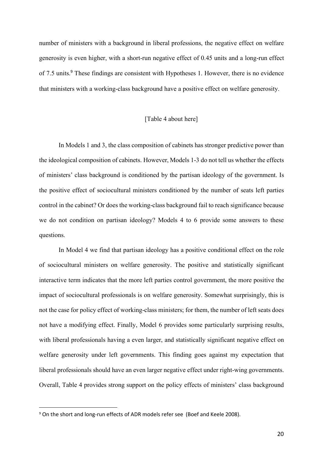number of ministers with a background in liberal professions, the negative effect on welfare generosity is even higher, with a short-run negative effect of 0.45 units and a long-run effect of 7.5 units.<sup>9</sup> These findings are consistent with Hypotheses 1. However, there is no evidence that ministers with a working-class background have a positive effect on welfare generosity.

#### [Table 4 about here]

In Models 1 and 3, the class composition of cabinets has stronger predictive power than the ideological composition of cabinets. However, Models 1-3 do not tell us whether the effects of ministers' class background is conditioned by the partisan ideology of the government. Is the positive effect of sociocultural ministers conditioned by the number of seats left parties control in the cabinet? Or does the working-class background fail to reach significance because we do not condition on partisan ideology? Models 4 to 6 provide some answers to these questions.

In Model 4 we find that partisan ideology has a positive conditional effect on the role of sociocultural ministers on welfare generosity. The positive and statistically significant interactive term indicates that the more left parties control government, the more positive the impact of sociocultural professionals is on welfare generosity. Somewhat surprisingly, this is not the case for policy effect of working-class ministers; for them, the number of left seats does not have a modifying effect. Finally, Model 6 provides some particularly surprising results, with liberal professionals having a even larger, and statistically significant negative effect on welfare generosity under left governments. This finding goes against my expectation that liberal professionals should have an even larger negative effect under right-wing governments. Overall, Table 4 provides strong support on the policy effects of ministers' class background

 <sup>9</sup> On the short and long-run effects of ADR models refer see (Boef and Keele 2008).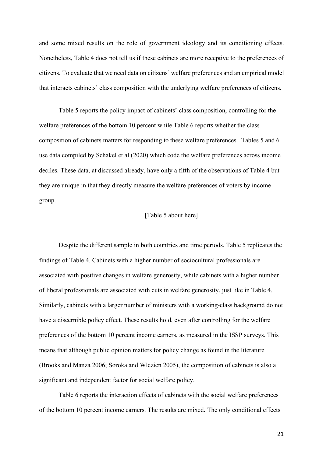and some mixed results on the role of government ideology and its conditioning effects. Nonetheless, Table 4 does not tell us if these cabinets are more receptive to the preferences of citizens. To evaluate that we need data on citizens' welfare preferences and an empirical model that interacts cabinets' class composition with the underlying welfare preferences of citizens.

Table 5 reports the policy impact of cabinets' class composition, controlling for the welfare preferences of the bottom 10 percent while Table 6 reports whether the class composition of cabinets matters for responding to these welfare preferences. Tables 5 and 6 use data compiled by Schakel et al (2020) which code the welfare preferences across income deciles. These data, at discussed already, have only a fifth of the observations of Table 4 but they are unique in that they directly measure the welfare preferences of voters by income group.

#### [Table 5 about here]

Despite the different sample in both countries and time periods, Table 5 replicates the findings of Table 4. Cabinets with a higher number of sociocultural professionals are associated with positive changes in welfare generosity, while cabinets with a higher number of liberal professionals are associated with cuts in welfare generosity, just like in Table 4. Similarly, cabinets with a larger number of ministers with a working-class background do not have a discernible policy effect. These results hold, even after controlling for the welfare preferences of the bottom 10 percent income earners, as measured in the ISSP surveys. This means that although public opinion matters for policy change as found in the literature (Brooks and Manza 2006; Soroka and Wlezien 2005), the composition of cabinets is also a significant and independent factor for social welfare policy.

Table 6 reports the interaction effects of cabinets with the social welfare preferences of the bottom 10 percent income earners. The results are mixed. The only conditional effects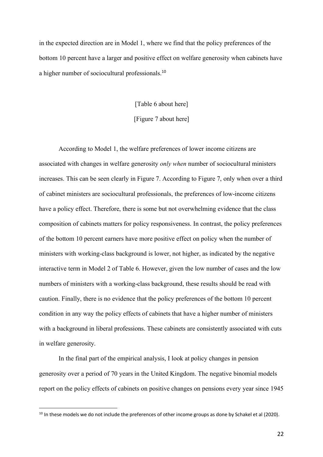in the expected direction are in Model 1, where we find that the policy preferences of the bottom 10 percent have a larger and positive effect on welfare generosity when cabinets have a higher number of sociocultural professionals.<sup>10</sup>

[Table 6 about here]

[Figure 7 about here]

According to Model 1, the welfare preferences of lower income citizens are associated with changes in welfare generosity *only when* number of sociocultural ministers increases. This can be seen clearly in Figure 7. According to Figure 7, only when over a third of cabinet ministers are sociocultural professionals, the preferences of low-income citizens have a policy effect. Therefore, there is some but not overwhelming evidence that the class composition of cabinets matters for policy responsiveness. In contrast, the policy preferences of the bottom 10 percent earners have more positive effect on policy when the number of ministers with working-class background is lower, not higher, as indicated by the negative interactive term in Model 2 of Table 6. However, given the low number of cases and the low numbers of ministers with a working-class background, these results should be read with caution. Finally, there is no evidence that the policy preferences of the bottom 10 percent condition in any way the policy effects of cabinets that have a higher number of ministers with a background in liberal professions. These cabinets are consistently associated with cuts in welfare generosity.

In the final part of the empirical analysis, I look at policy changes in pension generosity over a period of 70 years in the United Kingdom. The negative binomial models report on the policy effects of cabinets on positive changes on pensions every year since 1945

 $10$  In these models we do not include the preferences of other income groups as done by Schakel et al (2020).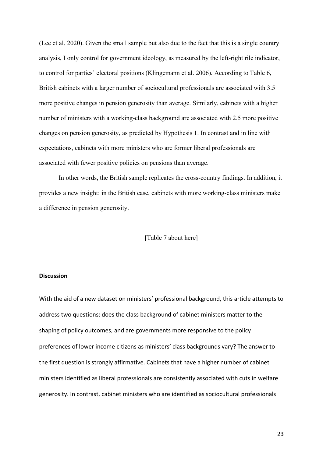(Lee et al. 2020). Given the small sample but also due to the fact that this is a single country analysis, I only control for government ideology, as measured by the left-right rile indicator, to control for parties' electoral positions (Klingemann et al. 2006). According to Table 6, British cabinets with a larger number of sociocultural professionals are associated with 3.5 more positive changes in pension generosity than average. Similarly, cabinets with a higher number of ministers with a working-class background are associated with 2.5 more positive changes on pension generosity, as predicted by Hypothesis 1. In contrast and in line with expectations, cabinets with more ministers who are former liberal professionals are associated with fewer positive policies on pensions than average.

In other words, the British sample replicates the cross-country findings. In addition, it provides a new insight: in the British case, cabinets with more working-class ministers make a difference in pension generosity.

#### [Table 7 about here]

#### **Discussion**

With the aid of a new dataset on ministers' professional background, this article attempts to address two questions: does the class background of cabinet ministers matter to the shaping of policy outcomes, and are governments more responsive to the policy preferences of lower income citizens as ministers' class backgrounds vary? The answer to the first question is strongly affirmative. Cabinets that have a higher number of cabinet ministers identified as liberal professionals are consistently associated with cuts in welfare generosity. In contrast, cabinet ministers who are identified as sociocultural professionals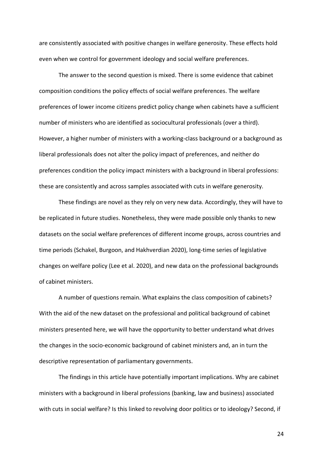are consistently associated with positive changes in welfare generosity. These effects hold even when we control for government ideology and social welfare preferences.

The answer to the second question is mixed. There is some evidence that cabinet composition conditions the policy effects of social welfare preferences. The welfare preferences of lower income citizens predict policy change when cabinets have a sufficient number of ministers who are identified as sociocultural professionals (over a third). However, a higher number of ministers with a working-class background or a background as liberal professionals does not alter the policy impact of preferences, and neither do preferences condition the policy impact ministers with a background in liberal professions: these are consistently and across samples associated with cuts in welfare generosity.

These findings are novel as they rely on very new data. Accordingly, they will have to be replicated in future studies. Nonetheless, they were made possible only thanks to new datasets on the social welfare preferences of different income groups, across countries and time periods (Schakel, Burgoon, and Hakhverdian 2020), long-time series of legislative changes on welfare policy (Lee et al. 2020), and new data on the professional backgrounds of cabinet ministers.

A number of questions remain. What explains the class composition of cabinets? With the aid of the new dataset on the professional and political background of cabinet ministers presented here, we will have the opportunity to better understand what drives the changes in the socio-economic background of cabinet ministers and, an in turn the descriptive representation of parliamentary governments.

The findings in this article have potentially important implications. Why are cabinet ministers with a background in liberal professions (banking, law and business) associated with cuts in social welfare? Is this linked to revolving door politics or to ideology? Second, if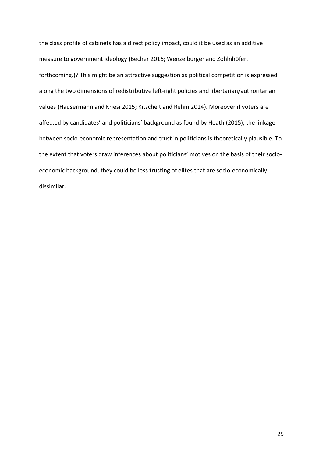the class profile of cabinets has a direct policy impact, could it be used as an additive measure to government ideology (Becher 2016; Wenzelburger and Zohlnhöfer, forthcoming.)? This might be an attractive suggestion as political competition is expressed along the two dimensions of redistributive left-right policies and libertarian/authoritarian values (Häusermann and Kriesi 2015; Kitschelt and Rehm 2014). Moreover if voters are affected by candidates' and politicians' background as found by Heath (2015), the linkage between socio-economic representation and trust in politicians is theoretically plausible. To the extent that voters draw inferences about politicians' motives on the basis of their socioeconomic background, they could be less trusting of elites that are socio-economically dissimilar.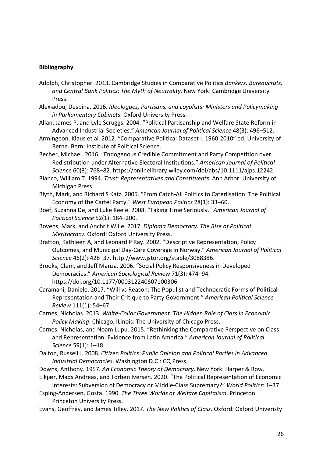#### **Bibliography**

- Adolph, Christopher. 2013. Cambridge Studies in Comparative Politics *Bankers, Bureaucrats, and Central Bank Politics: The Myth of Neutrality*. New York: Cambridge University Press.
- Alexiadou, Despina. 2016. *Ideologues, Partisans, and Loyalists: Ministers and Policymaking in Parliamentary Cabinets*. Oxford University Press.
- Allan, James P, and Lyle Scruggs. 2004. "Political Partisanship and Welfare State Reform in Advanced Industrial Societies." *American Journal of Political Science* 48(3): 496–512.
- Armingeon, Klaus et al. 2012. "Comparative Political Dataset I. 1960-2010" ed. University of Berne. Bern: Institute of Political Science.
- Becher, Michael. 2016. "Endogenous Credible Commitment and Party Competition over Redistribution under Alternative Electoral Institutions." *American Journal of Political Science* 60(3): 768–82. https://onlinelibrary.wiley.com/doi/abs/10.1111/ajps.12242.
- Bianco, William T. 1994. *Trust: Representatives and Constituents*. Ann Arbor: University of Michigan Press.
- Blyth, Mark, and Richard S Katz. 2005. "From Catch-All Politics to Caterlisation: The Political Economy of the Cartel Party." *West European Politics* 28(1): 33–60.
- Boef, Suzanna De, and Luke Keele. 2008. "Taking Time Seriously." *American Journal of Political Science* 52(1): 184–200.
- Bovens, Mark, and Anchrit Wille. 2017. *Diploma Democracy: The Rise of Political Meritocracy*. Oxford: Oxford University Press.
- Bratton, Kathleen A, and Leonard P Ray. 2002. "Descriptive Representation, Policy Outcomes, and Municipal Day-Care Coverage in Norway." *American Journal of Political Science* 46(2): 428–37. http://www.jstor.org/stable/3088386.
- Brooks, Clem, and Jeff Manza. 2006. "Social Policy Responsiveness in Developed Democracies." *American Sociological Review* 71(3): 474–94. https://doi.org/10.1177/000312240607100306.
- Caramani, Daniele. 2017. "Will vs Reason: The Populist and Technocratic Forms of Political Representation and Their Critique to Party Government." *American Political Science Review* 111(1): 54–67.
- Carnes, Nicholas. 2013. *White-Collar Government: The Hidden Role of Class in Economic Policy Making*. Chicago, ILinois: The University of Chicago Press.
- Carnes, Nicholas, and Noam Lupu. 2015. "Rethinking the Comparative Perspective on Class and Representation: Evidence from Latin America." *American Journal of Political Science* 59(1): 1–18.
- Dalton, Russell J. 2008. *Citizen Politics: Public Opinion and Political Parties in Advanced Industrial Democracies*. Washington D.C.: CQ Press.
- Downs, Anthony. 1957. *An Economic Theory of Democracy*. New York: Harper & Row.
- Elkjær, Mads Andreas, and Torben Iversen. 2020. "The Political Representation of Economic Interests: Subversion of Democracy or Middle-Class Supremacy?" *World Politics*: 1–37.
- Esping-Andersen, Gosta. 1990. *The Three Worlds of Welfare Capitalism*. Princeton: Princeton University Press.
- Evans, Geoffrey, and James Tilley. 2017. *The New Politics of Class*. Oxford: Oxford Univeristy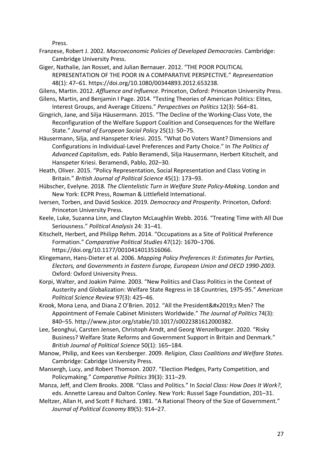Press.

- Franzese, Robert J. 2002. *Macroeconomic Policies of Developed Democracies*. Cambridge: Cambridge University Press.
- Giger, Nathalie, Jan Rosset, and Julian Bernauer. 2012. "THE POOR POLITICAL REPRESENTATION OF THE POOR IN A COMPARATIVE PERSPECTIVE." *Representation* 48(1): 47–61. https://doi.org/10.1080/00344893.2012.653238.

Gilens, Martin. 2012. *Affluence and Influence*. Princeton, Oxford: Princeton University Press.

- Gilens, Martin, and Benjamin I Page. 2014. "Testing Theories of American Politics: Elites, Interest Groups, and Average Citizens." *Perspectives on Politics* 12(3): 564–81.
- Gingrich, Jane, and Silja Häusermann. 2015. "The Decline of the Working-Class Vote, the Reconfiguration of the Welfare Support Coalition and Consequences for the Welfare State." *Journal of European Social Policy* 25(1): 50–75.
- Häusermann, Silja, and Hanspeter Kriesi. 2015. "What Do Voters Want? Dimensions and Configurations in Individual-Level Preferences and Party Choice." In *The Politics of Advanced Capitalism*, eds. Pablo Beramendi, Silja Hausermann, Herbert Kitschelt, and Hanspeter Kriesi. Beramendi, Pablo, 202–30.
- Heath, Oliver. 2015. "Policy Representation, Social Representation and Class Voting in Britain." *British Journal of Political Science* 45(1): 173–93.
- Hübscher, Evelyne. 2018. *The Clientelistic Turn in Welfare State Policy-Making*. London and New York: ECPR Press, Rowman & Littlefield International.
- Iversen, Torben, and David Soskice. 2019. *Democracy and Prosperity*. Princeton, Oxford: Princeton University Press.
- Keele, Luke, Suzanna Linn, and Clayton McLaughlin Webb. 2016. "Treating Time with All Due Seriousness." *Political Analysis* 24: 31–41.
- Kitschelt, Herbert, and Philipp Rehm. 2014. "Occupations as a Site of Political Preference Formation." *Comparative Political Studies* 47(12): 1670–1706. https://doi.org/10.1177/0010414013516066.
- Klingemann, Hans-Dieter et al. 2006. *Mapping Policy Preferences II: Estimates for Parties, Electors, and Governments in Eastern Europe, European Union and OECD 1990-2003*. Oxford: Oxford University Press.
- Korpi, Walter, and Joakim Palme. 2003. "New Politics and Class Politics in the Context of Austerity and Globalization: Welfare State Regress in 18 Countries, 1975-95." *American Political Science Review* 97(3): 425–46.
- Krook, Mona Lena, and Diana Z O'Brien. 2012. "All the President's Men? The Appointment of Female Cabinet Ministers Worldwide." *The Journal of Politics* 74(3): 840–55. http://www.jstor.org/stable/10.1017/s0022381612000382.
- Lee, Seonghui, Carsten Jensen, Christoph Arndt, and Georg Wenzelburger. 2020. "Risky Business? Welfare State Reforms and Government Support in Britain and Denmark." *British Journal of Political Science* 50(1): 165–184.
- Manow, Philip, and Kees van Kersberger. 2009. *Religion, Class Coalitions and Welfare States*. Cambridge: Cabridge University Press.
- Mansergh, Lucy, and Robert Thomson. 2007. "Election Pledges, Party Competition, and Policymaking." *Comparative Politics* 39(3): 311–29.
- Manza, Jeff, and Clem Brooks. 2008. "Class and Politics." In *Social Class: How Does It Work?*, eds. Annette Lareau and Dalton Conley. New York: Russel Sage Foundation, 201–31.
- Meltzer, Allan H, and Scott F Richard. 1981. "A Rational Theory of the Size of Government." *Journal of Political Economy* 89(5): 914–27.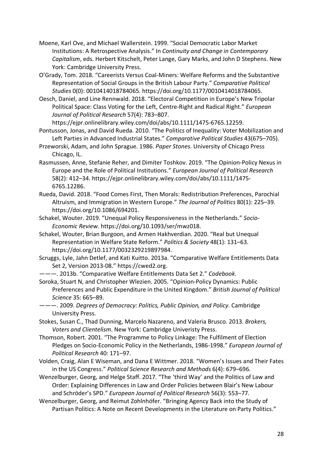- Moene, Karl Ove, and Michael Wallerstein. 1999. "Social Democratic Labor Market Institutions: A Retrospective Analysis." In *Continuity and Change in Contemporary Capitalism*, eds. Herbert Kitschelt, Peter Lange, Gary Marks, and John D Stephens. New York: Cambridge University Press.
- O'Grady, Tom. 2018. "Careerists Versus Coal-Miners: Welfare Reforms and the Substantive Representation of Social Groups in the British Labour Party." *Comparative Political Studies* 0(0): 0010414018784065. https://doi.org/10.1177/0010414018784065.
- Oesch, Daniel, and Line Rennwald. 2018. "Electoral Competition in Europe's New Tripolar Political Space: Class Voting for the Left, Centre-Right and Radical Right." *European Journal of Political Research* 57(4): 783–807.

https://ejpr.onlinelibrary.wiley.com/doi/abs/10.1111/1475-6765.12259.

- Pontusson, Jonas, and David Rueda. 2010. "The Politics of Inequality: Voter Mobilization and Left Parties in Advanced Industrial States." *Comparative Political Studies* 43(675–705).
- Przeworski, Adam, and John Sprague. 1986. *Paper Stones*. University of Chicago Press Chicago, IL.
- Rasmussen, Anne, Stefanie Reher, and Dimiter Toshkov. 2019. "The Opinion-Policy Nexus in Europe and the Role of Political Institutions." *European Journal of Political Research* 58(2): 412–34. https://ejpr.onlinelibrary.wiley.com/doi/abs/10.1111/1475- 6765.12286.
- Rueda, David. 2018. "Food Comes First, Then Morals: Redistribution Preferences, Parochial Altruism, and Immigration in Western Europe." *The Journal of Politics* 80(1): 225–39. https://doi.org/10.1086/694201.
- Schakel, Wouter. 2019. "Unequal Policy Responsiveness in the Netherlands." *Socio-Economic Review*. https://doi.org/10.1093/ser/mwz018.
- Schakel, Wouter, Brian Burgoon, and Armen Hakhverdian. 2020. "Real but Unequal Representation in Welfare State Reform." *Politics & Society* 48(1): 131–63. https://doi.org/10.1177/0032329219897984.
- Scruggs, Lyle, Jahn Detlef, and Kati Kuitto. 2013a. "Comparative Welfare Entitlements Data Set 2, Version 2013-08." https://cwed2.org.
- ———. 2013b. "Comparative Welfare Entitlements Data Set 2." *Codebook*.
- Soroka, Stuart N, and Christopher Wlezien. 2005. "Opinion-Policy Dynamics: Public Preferences and Public Expenditure in the United Kingdom." *British Journal of Political Science* 35: 665–89.
- ———. 2009. *Degrees of Democracy: Politics, Public Opinion, and Policy*. Cambridge University Press.
- Stokes, Susan C., Thad Dunning, Marcelo Nazareno, and Valeria Brusco. 2013. *Brokers, Voters and Clientelism*. New York: Cambridge Univeristy Press.
- Thomson, Robert. 2001. "The Programme to Policy Linkage: The Fulfilment of Election Pledges on Socio-Economic Policy in the Netherlands, 1986-1998." *European Journal of Political Research* 40: 171–97.
- Volden, Craig, Alan E Wiseman, and Dana E Wittmer. 2018. "Women's Issues and Their Fates in the US Congress." *Political Science Research and Methods* 6(4): 679–696.
- Wenzelburger, Georg, and Helge Staff. 2017. "The 'third Way' and the Politics of Law and Order: Explaining Differences in Law and Order Policies between Blair's New Labour and Schröder's SPD." *European Journal of Political Research* 56(3): 553–77.
- Wenzelburger, Georg, and Reimut Zohlnhöfer. "Bringing Agency Back into the Study of Partisan Politics: A Note on Recent Developments in the Literature on Party Politics."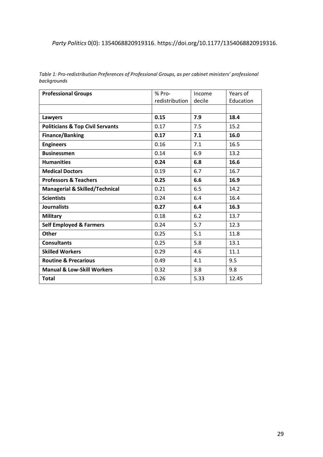#### *Party Politics* 0(0): 1354068820919316. https://doi.org/10.1177/1354068820919316.

| <b>Professional Groups</b>                  | % Pro-         | Income | Years of  |
|---------------------------------------------|----------------|--------|-----------|
|                                             | redistribution | decile | Education |
|                                             |                |        |           |
| Lawyers                                     | 0.15           | 7.9    | 18.4      |
| <b>Politicians &amp; Top Civil Servants</b> | 0.17           | 7.5    | 15.2      |
| <b>Finance/Banking</b>                      | 0.17           | 7.1    | 16.0      |
| <b>Engineers</b>                            | 0.16           | 7.1    | 16.5      |
| <b>Businessmen</b>                          | 0.14           | 6.9    | 13.2      |
| <b>Humanities</b>                           | 0.24           | 6.8    | 16.6      |
| <b>Medical Doctors</b>                      | 0.19           | 6.7    | 16.7      |
| <b>Professors &amp; Teachers</b>            | 0.25           | 6.6    | 16.9      |
| <b>Managerial &amp; Skilled/Technical</b>   | 0.21           | 6.5    | 14.2      |
| <b>Scientists</b>                           | 0.24           | 6.4    | 16.4      |
| <b>Journalists</b>                          | 0.27           | 6.4    | 16.3      |
| <b>Military</b>                             | 0.18           | 6.2    | 13.7      |
| <b>Self Employed &amp; Farmers</b>          | 0.24           | 5.7    | 12.3      |
| <b>Other</b>                                | 0.25           | 5.1    | 11.8      |
| <b>Consultants</b>                          | 0.25           | 5.8    | 13.1      |
| <b>Skilled Workers</b>                      | 0.29           | 4.6    | 11.1      |
| <b>Routine &amp; Precarious</b>             | 0.49           | 4.1    | 9.5       |
| <b>Manual &amp; Low-Skill Workers</b>       | 0.32           | 3.8    | 9.8       |
| <b>Total</b>                                | 0.26           | 5.33   | 12.45     |

*Table 1: Pro-redistribution Preferences of Professional Groups, as per cabinet ministers' professional backgrounds*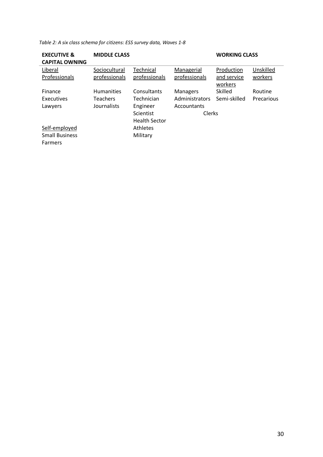| <b>EXECUTIVE &amp;</b><br><b>CAPITAL OWNING</b> | <b>MIDDLE CLASS</b> |                      |                 | <b>WORKING CLASS</b> |            |
|-------------------------------------------------|---------------------|----------------------|-----------------|----------------------|------------|
| Liberal                                         | Sociocultural       | Technical            | Managerial      | Production           | Unskilled  |
| Professionals                                   | professionals       | professionals        | professionals   | and service          | workers    |
|                                                 |                     |                      |                 | workers              |            |
| Finance                                         | <b>Humanities</b>   | Consultants          | <b>Managers</b> | Skilled              | Routine    |
| Executives                                      | <b>Teachers</b>     | Technician           | Administrators  | Semi-skilled         | Precarious |
| Lawyers                                         | Journalists         | Engineer             | Accountants     |                      |            |
|                                                 |                     | Scientist            | <b>Clerks</b>   |                      |            |
|                                                 |                     | <b>Health Sector</b> |                 |                      |            |
| Self-employed                                   |                     | Athletes             |                 |                      |            |
| <b>Small Business</b>                           |                     | Military             |                 |                      |            |
| <b>Farmers</b>                                  |                     |                      |                 |                      |            |

*Table 2: A six class schema for citizens: ESS survey data, Waves 1-8*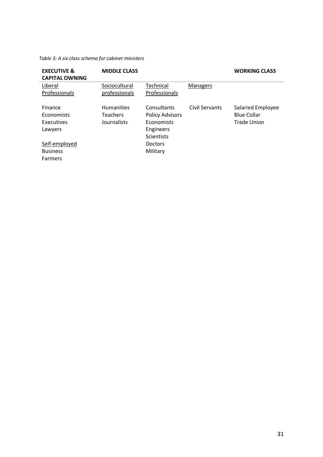#### *Table 3: A six class schema for cabinet ministers*

| <b>EXECUTIVE &amp;</b><br><b>CAPITAL OWNING</b>       | <b>MIDDLE CLASS</b>                                 |                                                                                       |                | <b>WORKING CLASS</b>                                   |
|-------------------------------------------------------|-----------------------------------------------------|---------------------------------------------------------------------------------------|----------------|--------------------------------------------------------|
| Liberal<br>Professionals                              | Sociocultural<br>professionals                      | Technical<br>Professionals                                                            | Managers       |                                                        |
| <b>Finance</b><br>Economists<br>Executives<br>Lawyers | <b>Humanities</b><br><b>Teachers</b><br>Journalists | Consultants<br><b>Policy Advisors</b><br>Economists<br>Engineers<br><b>Scientists</b> | Civil Servants | Salaried Employee<br><b>Blue Collar</b><br>Trade Union |
| Self-employed                                         |                                                     | <b>Doctors</b>                                                                        |                |                                                        |
| <b>Business</b>                                       |                                                     | Military                                                                              |                |                                                        |
| <b>Farmers</b>                                        |                                                     |                                                                                       |                |                                                        |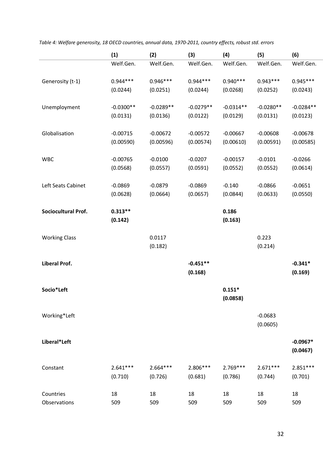|                            | (1)         | (2)         | (3)         | (4)         | (5)         | (6)         |
|----------------------------|-------------|-------------|-------------|-------------|-------------|-------------|
|                            | Welf.Gen.   | Welf.Gen.   | Welf.Gen.   | Welf.Gen.   | Welf.Gen.   | Welf.Gen.   |
|                            |             |             |             |             |             |             |
| Generosity (t-1)           | $0.944***$  | $0.946***$  | $0.944***$  | $0.940***$  | $0.943***$  | $0.945***$  |
|                            | (0.0244)    | (0.0251)    | (0.0244)    | (0.0268)    | (0.0252)    | (0.0243)    |
| Unemployment               | $-0.0300**$ | $-0.0289**$ | $-0.0279**$ | $-0.0314**$ | $-0.0280**$ | $-0.0284**$ |
|                            | (0.0131)    | (0.0136)    | (0.0122)    | (0.0129)    | (0.0131)    | (0.0123)    |
|                            |             |             |             |             |             |             |
| Globalisation              | $-0.00715$  | $-0.00672$  | $-0.00572$  | $-0.00667$  | $-0.00608$  | $-0.00678$  |
|                            | (0.00590)   | (0.00596)   | (0.00574)   | (0.00610)   | (0.00591)   | (0.00585)   |
|                            |             |             |             |             |             |             |
| <b>WBC</b>                 | $-0.00765$  | $-0.0100$   | $-0.0207$   | $-0.00157$  | $-0.0101$   | $-0.0266$   |
|                            | (0.0568)    | (0.0557)    | (0.0591)    | (0.0552)    | (0.0552)    | (0.0614)    |
| Left Seats Cabinet         |             | $-0.0879$   | $-0.0869$   | $-0.140$    | $-0.0866$   |             |
|                            | $-0.0869$   | (0.0664)    | (0.0657)    |             | (0.0633)    | $-0.0651$   |
|                            | (0.0628)    |             |             | (0.0844)    |             | (0.0550)    |
| <b>Sociocultural Prof.</b> | $0.313**$   |             |             | 0.186       |             |             |
|                            | (0.142)     |             |             | (0.163)     |             |             |
|                            |             |             |             |             |             |             |
| <b>Working Class</b>       |             | 0.0117      |             |             | 0.223       |             |
|                            |             | (0.182)     |             |             | (0.214)     |             |
|                            |             |             |             |             |             |             |
| Liberal Prof.              |             |             | $-0.451**$  |             |             | $-0.341*$   |
|                            |             |             | (0.168)     |             |             | (0.169)     |
| Socio*Left                 |             |             |             | $0.151*$    |             |             |
|                            |             |             |             | (0.0858)    |             |             |
|                            |             |             |             |             |             |             |
| Working*Left               |             |             |             |             | $-0.0683$   |             |
|                            |             |             |             |             | (0.0605)    |             |
|                            |             |             |             |             |             |             |
| Liberal*Left               |             |             |             |             |             | $-0.0967*$  |
|                            |             |             |             |             |             | (0.0467)    |
| Constant                   | $2.641***$  | $2.664***$  | 2.806 ***   | 2.769***    | $2.671***$  | $2.851***$  |
|                            | (0.710)     | (0.726)     | (0.681)     | (0.786)     | (0.744)     | (0.701)     |
|                            |             |             |             |             |             |             |
| Countries                  | 18          | 18          | 18          | 18          | 18          | 18          |
| Observations               | 509         | 509         | 509         | 509         | 509         | 509         |

*Table 4: Welfare generosity, 18 OECD countries, annual data, 1970-2011, country effects, robust std. errors*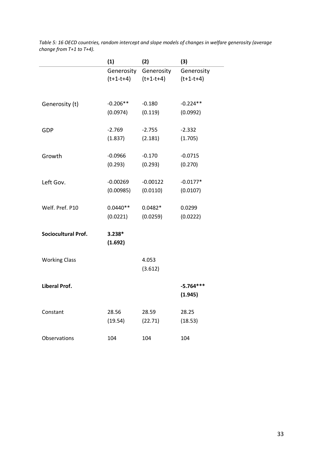| (1)         |                                                                                                                                | (3)                                                                                           |
|-------------|--------------------------------------------------------------------------------------------------------------------------------|-----------------------------------------------------------------------------------------------|
| Generosity  | Generosity                                                                                                                     | Generosity                                                                                    |
| $(t+1-t+4)$ | $(t+1-t+4)$                                                                                                                    | $(t+1-t+4)$                                                                                   |
|             |                                                                                                                                |                                                                                               |
|             |                                                                                                                                |                                                                                               |
|             |                                                                                                                                | $-0.224**$                                                                                    |
|             |                                                                                                                                | (0.0992)                                                                                      |
|             |                                                                                                                                | $-2.332$                                                                                      |
|             |                                                                                                                                |                                                                                               |
|             |                                                                                                                                | (1.705)                                                                                       |
|             | $-0.170$                                                                                                                       | $-0.0715$                                                                                     |
|             |                                                                                                                                | (0.270)                                                                                       |
|             |                                                                                                                                |                                                                                               |
| $-0.00269$  | $-0.00122$                                                                                                                     | $-0.0177*$                                                                                    |
| (0.00985)   | (0.0110)                                                                                                                       | (0.0107)                                                                                      |
|             |                                                                                                                                |                                                                                               |
|             |                                                                                                                                | 0.0299                                                                                        |
| (0.0221)    | (0.0259)                                                                                                                       | (0.0222)                                                                                      |
|             |                                                                                                                                |                                                                                               |
|             |                                                                                                                                |                                                                                               |
|             |                                                                                                                                |                                                                                               |
|             | 4.053                                                                                                                          |                                                                                               |
|             | (3.612)                                                                                                                        |                                                                                               |
|             |                                                                                                                                |                                                                                               |
|             |                                                                                                                                | $-5.764***$                                                                                   |
|             |                                                                                                                                | (1.945)                                                                                       |
|             |                                                                                                                                | 28.25                                                                                         |
|             |                                                                                                                                |                                                                                               |
|             |                                                                                                                                | (18.53)                                                                                       |
| 104         | 104                                                                                                                            | 104                                                                                           |
|             | $-0.206**$<br>(0.0974)<br>$-2.769$<br>(1.837)<br>$-0.0966$<br>(0.293)<br>$0.0440**$<br>$3.238*$<br>(1.692)<br>28.56<br>(19.54) | (2)<br>$-0.180$<br>(0.119)<br>$-2.755$<br>(2.181)<br>(0.293)<br>$0.0482*$<br>28.59<br>(22.71) |

*Table 5: 16 OECD countries, random intercept and slope models of changes in welfare generosity (average change from T+1 to T+4).*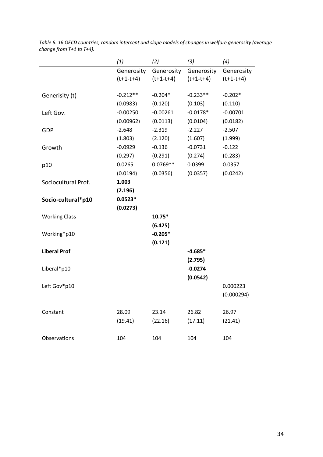| (1)         | (2)         | (3)                                   | (4)         |
|-------------|-------------|---------------------------------------|-------------|
|             | Generosity  | Generosity                            | Generosity  |
| $(t+1-t+4)$ | $(t+1-t+4)$ | $(t+1-t+4)$                           | $(t+1-t+4)$ |
|             |             |                                       |             |
| $-0.212**$  |             | $-0.233**$                            | $-0.202*$   |
| (0.0983)    | (0.120)     | (0.103)                               | (0.110)     |
| $-0.00250$  |             | $-0.0178*$                            | $-0.00701$  |
| (0.00962)   | (0.0113)    | (0.0104)                              | (0.0182)    |
| $-2.648$    | $-2.319$    | $-2.227$                              | $-2.507$    |
| (1.803)     | (2.120)     | (1.607)                               | (1.999)     |
| $-0.0929$   | $-0.136$    | $-0.0731$                             | $-0.122$    |
| (0.297)     | (0.291)     | (0.274)                               | (0.283)     |
| 0.0265      | $0.0769**$  | 0.0399                                | 0.0357      |
| (0.0194)    | (0.0356)    | (0.0357)                              | (0.0242)    |
| 1.003       |             |                                       |             |
| (2.196)     |             |                                       |             |
| $0.0523*$   |             |                                       |             |
| (0.0273)    |             |                                       |             |
|             | 10.75*      |                                       |             |
|             | (6.425)     |                                       |             |
|             | $-0.205*$   |                                       |             |
|             | (0.121)     |                                       |             |
|             |             | $-4.685*$                             |             |
|             |             | (2.795)                               |             |
|             |             | $-0.0274$                             |             |
|             |             | (0.0542)                              |             |
|             |             |                                       | 0.000223    |
|             |             |                                       | (0.000294)  |
|             |             |                                       |             |
| 28.09       | 23.14       | 26.82                                 | 26.97       |
| (19.41)     | (22.16)     | (17.11)                               | (21.41)     |
|             |             |                                       |             |
| 104         | 104         | 104                                   | 104         |
|             |             | Generosity<br>$-0.204*$<br>$-0.00261$ |             |

*Table 6: 16 OECD countries, random intercept and slope models of changes in welfare generosity (average change from T+1 to T+4).*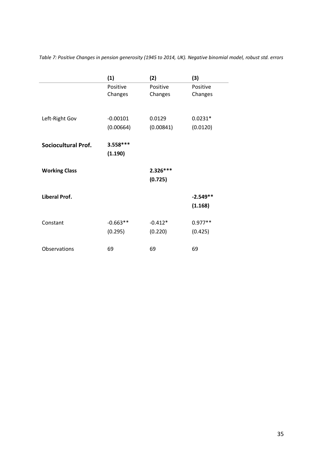|                            | (1)        | (2)        | (3)        |
|----------------------------|------------|------------|------------|
|                            | Positive   | Positive   | Positive   |
|                            | Changes    | Changes    | Changes    |
|                            |            |            |            |
| Left-Right Gov             | $-0.00101$ | 0.0129     | $0.0231*$  |
|                            | (0.00664)  | (0.00841)  | (0.0120)   |
| <b>Sociocultural Prof.</b> | $3.558***$ |            |            |
|                            | (1.190)    |            |            |
|                            |            |            |            |
| <b>Working Class</b>       |            | $2.326***$ |            |
|                            |            | (0.725)    |            |
| Liberal Prof.              |            |            | $-2.549**$ |
|                            |            |            | (1.168)    |
| Constant                   | $-0.663**$ | $-0.412*$  | $0.977**$  |
|                            | (0.295)    | (0.220)    | (0.425)    |
|                            |            |            |            |
| Observations               | 69         | 69         | 69         |

*Table 7: Positive Changes in pension generosity (1945 to 2014, UK). Negative binomial model, robust std. errors*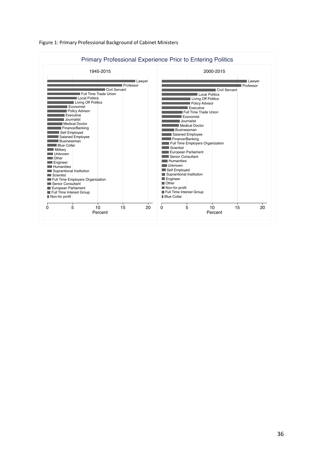

Figure 1: Primary Professional Background of Cabinet Ministers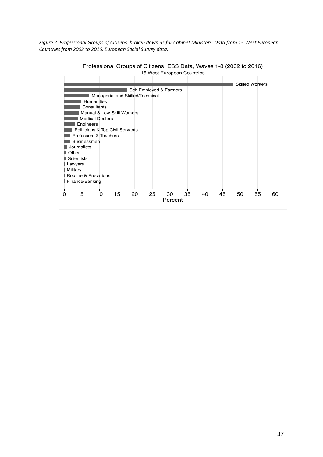*Figure 2: Professional Groups of Citizens, broken down as for Cabinet Ministers: Data from 15 West European Countries from 2002 to 2016, European Social Survey data.* 

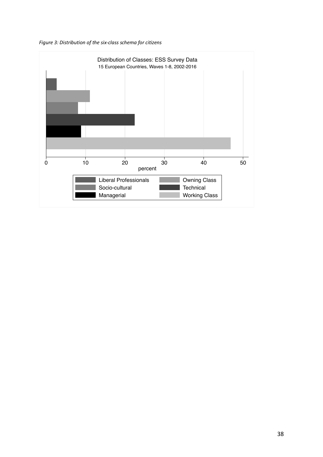

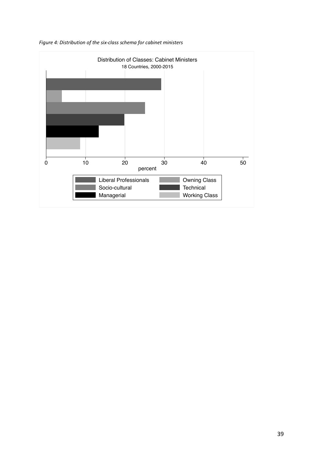

*Figure 4: Distribution of the six-class schema for cabinet ministers*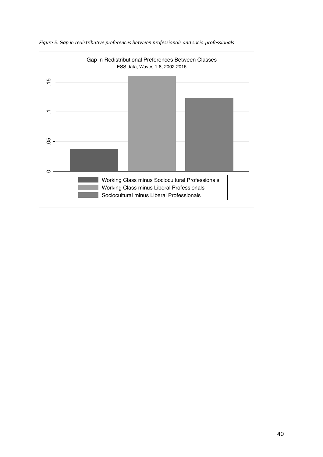

*Figure 5: Gap in redistributive preferences between professionals and socio-professionals*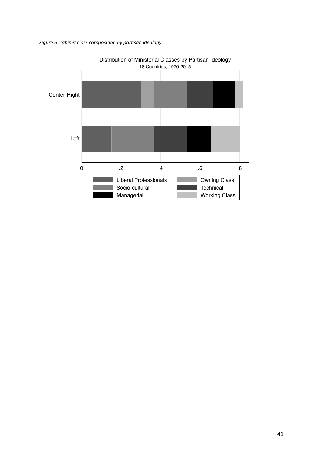

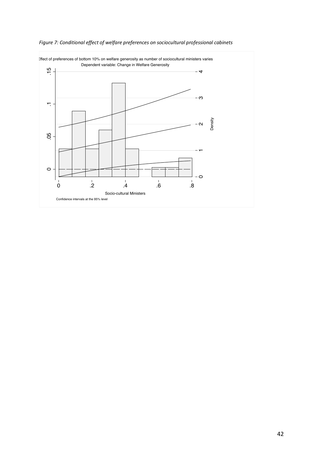

*Figure 7: Conditional effect of welfare preferences on sociocultural professional cabinets*